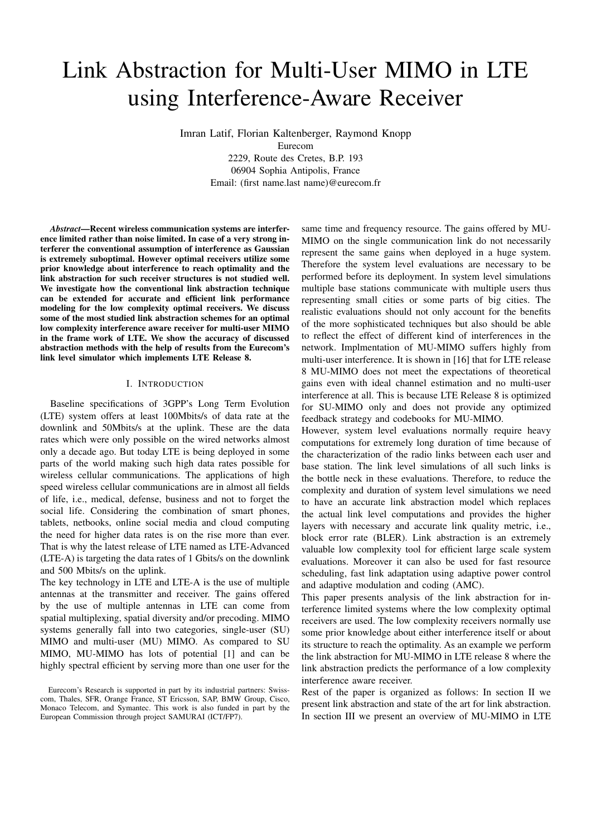# Link Abstraction for Multi-User MIMO in LTE using Interference-Aware Receiver

Imran Latif, Florian Kaltenberger, Raymond Knopp Eurecom 2229, Route des Cretes, B.P. 193 06904 Sophia Antipolis, France Email: (first name.last name)@eurecom.fr

*Abstract*—Recent wireless communication systems are interference limited rather than noise limited. In case of a very strong interferer the conventional assumption of interference as Gaussian is extremely suboptimal. However optimal receivers utilize some prior knowledge about interference to reach optimality and the link abstraction for such receiver structures is not studied well. We investigate how the conventional link abstraction technique can be extended for accurate and efficient link performance modeling for the low complexity optimal receivers. We discuss some of the most studied link abstraction schemes for an optimal low complexity interference aware receiver for multi-user MIMO in the frame work of LTE. We show the accuracy of discussed abstraction methods with the help of results from the Eurecom's link level simulator which implements LTE Release 8.

#### I. INTRODUCTION

Baseline specifications of 3GPP's Long Term Evolution (LTE) system offers at least 100Mbits/s of data rate at the downlink and 50Mbits/s at the uplink. These are the data rates which were only possible on the wired networks almost only a decade ago. But today LTE is being deployed in some parts of the world making such high data rates possible for wireless cellular communications. The applications of high speed wireless cellular communications are in almost all fields of life, i.e., medical, defense, business and not to forget the social life. Considering the combination of smart phones, tablets, netbooks, online social media and cloud computing the need for higher data rates is on the rise more than ever. That is why the latest release of LTE named as LTE-Advanced (LTE-A) is targeting the data rates of 1 Gbits/s on the downlink and 500 Mbits/s on the uplink.

The key technology in LTE and LTE-A is the use of multiple antennas at the transmitter and receiver. The gains offered by the use of multiple antennas in LTE can come from spatial multiplexing, spatial diversity and/or precoding. MIMO systems generally fall into two categories, single-user (SU) MIMO and multi-user (MU) MIMO. As compared to SU MIMO, MU-MIMO has lots of potential [1] and can be highly spectral efficient by serving more than one user for the

same time and frequency resource. The gains offered by MU-MIMO on the single communication link do not necessarily represent the same gains when deployed in a huge system. Therefore the system level evaluations are necessary to be performed before its deployment. In system level simulations multiple base stations communicate with multiple users thus representing small cities or some parts of big cities. The realistic evaluations should not only account for the benefits of the more sophisticated techniques but also should be able to reflect the effect of different kind of interferences in the network. Implmentation of MU-MIMO suffers highly from multi-user interference. It is shown in [16] that for LTE release 8 MU-MIMO does not meet the expectations of theoretical gains even with ideal channel estimation and no multi-user interference at all. This is because LTE Release 8 is optimized for SU-MIMO only and does not provide any optimized feedback strategy and codebooks for MU-MIMO.

However, system level evaluations normally require heavy computations for extremely long duration of time because of the characterization of the radio links between each user and base station. The link level simulations of all such links is the bottle neck in these evaluations. Therefore, to reduce the complexity and duration of system level simulations we need to have an accurate link abstraction model which replaces the actual link level computations and provides the higher layers with necessary and accurate link quality metric, i.e., block error rate (BLER). Link abstraction is an extremely valuable low complexity tool for efficient large scale system evaluations. Moreover it can also be used for fast resource scheduling, fast link adaptation using adaptive power control and adaptive modulation and coding (AMC).

This paper presents analysis of the link abstraction for interference limited systems where the low complexity optimal receivers are used. The low complexity receivers normally use some prior knowledge about either interference itself or about its structure to reach the optimality. As an example we perform the link abstraction for MU-MIMO in LTE release 8 where the link abstraction predicts the performance of a low complexity interference aware receiver.

Rest of the paper is organized as follows: In section II we present link abstraction and state of the art for link abstraction. In section III we present an overview of MU-MIMO in LTE

Eurecom's Research is supported in part by its industrial partners: Swisscom, Thales, SFR, Orange France, ST Ericsson, SAP, BMW Group, Cisco, Monaco Telecom, and Symantec. This work is also funded in part by the European Commission through project SAMURAI (ICT/FP7).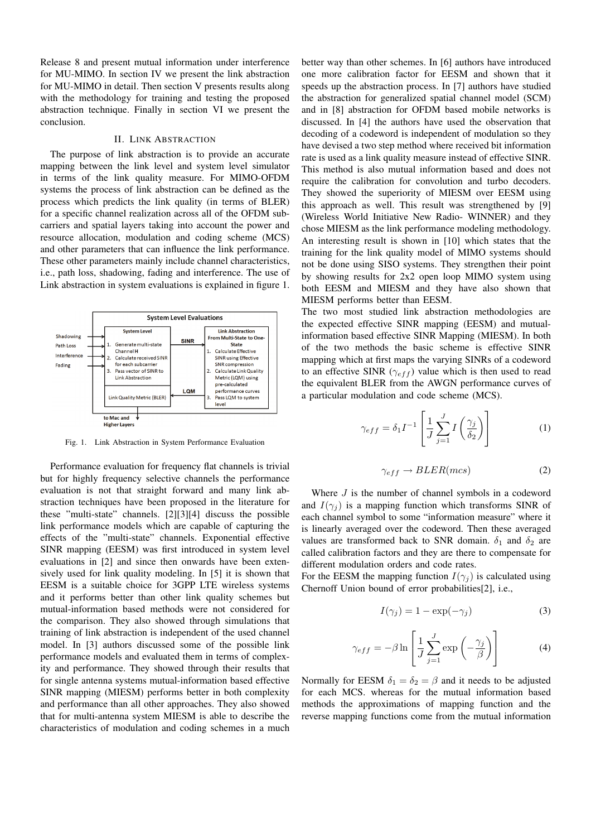Release 8 and present mutual information under interference for MU-MIMO. In section IV we present the link abstraction for MU-MIMO in detail. Then section V presents results along with the methodology for training and testing the proposed abstraction technique. Finally in section VI we present the conclusion.

# II. LINK ABSTRACTION

The purpose of link abstraction is to provide an accurate mapping between the link level and system level simulator in terms of the link quality measure. For MIMO-OFDM systems the process of link abstraction can be defined as the process which predicts the link quality (in terms of BLER) for a specific channel realization across all of the OFDM subcarriers and spatial layers taking into account the power and resource allocation, modulation and coding scheme (MCS) and other parameters that can influence the link performance. These other parameters mainly include channel characteristics, i.e., path loss, shadowing, fading and interference. The use of Link abstraction in system evaluations is explained in figure 1.



Fig. 1. Link Abstraction in System Performance Evaluation

Performance evaluation for frequency flat channels is trivial but for highly frequency selective channels the performance evaluation is not that straight forward and many link abstraction techniques have been proposed in the literature for these "multi-state" channels. [2][3][4] discuss the possible link performance models which are capable of capturing the effects of the "multi-state" channels. Exponential effective SINR mapping (EESM) was first introduced in system level evaluations in [2] and since then onwards have been extensively used for link quality modeling. In [5] it is shown that EESM is a suitable choice for 3GPP LTE wireless systems and it performs better than other link quality schemes but mutual-information based methods were not considered for the comparison. They also showed through simulations that training of link abstraction is independent of the used channel model. In [3] authors discussed some of the possible link performance models and evaluated them in terms of complexity and performance. They showed through their results that for single antenna systems mutual-information based effective SINR mapping (MIESM) performs better in both complexity and performance than all other approaches. They also showed that for multi-antenna system MIESM is able to describe the characteristics of modulation and coding schemes in a much

better way than other schemes. In [6] authors have introduced one more calibration factor for EESM and shown that it speeds up the abstraction process. In [7] authors have studied the abstraction for generalized spatial channel model (SCM) and in [8] abstraction for OFDM based mobile networks is discussed. In [4] the authors have used the observation that decoding of a codeword is independent of modulation so they have devised a two step method where received bit information rate is used as a link quality measure instead of effective SINR. This method is also mutual information based and does not require the calibration for convolution and turbo decoders. They showed the superiority of MIESM over EESM using this approach as well. This result was strengthened by [9] (Wireless World Initiative New Radio- WINNER) and they chose MIESM as the link performance modeling methodology. An interesting result is shown in [10] which states that the training for the link quality model of MIMO systems should not be done using SISO systems. They strengthen their point by showing results for 2x2 open loop MIMO system using both EESM and MIESM and they have also shown that MIESM performs better than EESM.

The two most studied link abstraction methodologies are the expected effective SINR mapping (EESM) and mutualinformation based effective SINR Mapping (MIESM). In both of the two methods the basic scheme is effective SINR mapping which at first maps the varying SINRs of a codeword to an effective SINR ( $\gamma_{eff}$ ) value which is then used to read the equivalent BLER from the AWGN performance curves of a particular modulation and code scheme (MCS).

$$
\gamma_{eff} = \delta_1 I^{-1} \left[ \frac{1}{J} \sum_{j=1}^{J} I\left(\frac{\gamma_j}{\delta_2}\right) \right]
$$
 (1)

$$
\gamma_{eff} \to BLER(mcs) \tag{2}
$$

Where  $J$  is the number of channel symbols in a codeword and  $I(\gamma_i)$  is a mapping function which transforms SINR of each channel symbol to some "information measure" where it is linearly averaged over the codeword. Then these averaged values are transformed back to SNR domain.  $\delta_1$  and  $\delta_2$  are called calibration factors and they are there to compensate for different modulation orders and code rates.

For the EESM the mapping function  $I(\gamma_i)$  is calculated using Chernoff Union bound of error probabilities[2], i.e.,

$$
I(\gamma_j) = 1 - \exp(-\gamma_j)
$$
 (3)

$$
\gamma_{eff} = -\beta \ln \left[ \frac{1}{J} \sum_{j=1}^{J} \exp \left( -\frac{\gamma_j}{\beta} \right) \right]
$$
 (4)

Normally for EESM  $\delta_1 = \delta_2 = \beta$  and it needs to be adjusted for each MCS. whereas for the mutual information based methods the approximations of mapping function and the reverse mapping functions come from the mutual information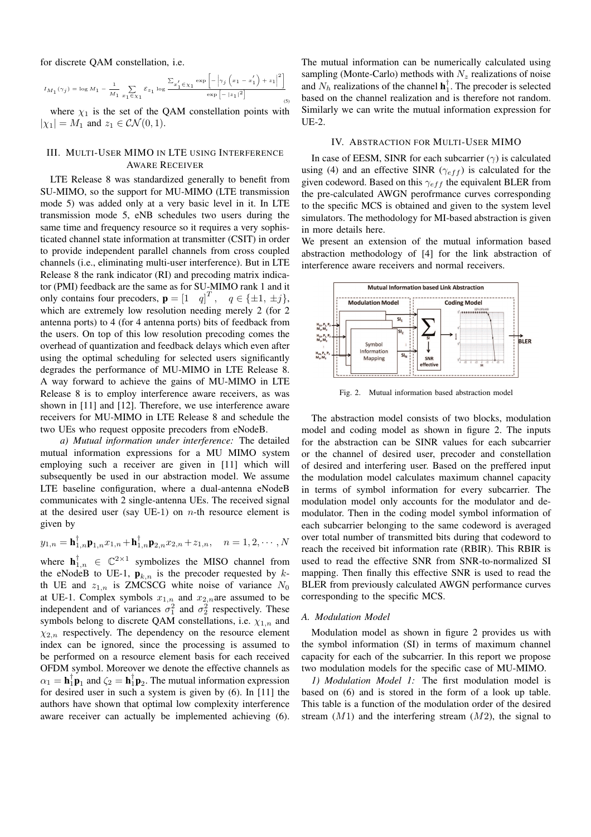for discrete QAM constellation, i.e.

$$
I_{M_{1}}(\gamma_{j})=\log M_{1}-\frac{1}{M_{1}}\sum_{x_{1}\in\chi_{1}}\mathcal{E}_{z_{1}}\log\frac{\sum_{x_{1}^{\prime}\in\chi_{1}}\exp\left[-\left|\gamma_{j}\left(x_{1}-x_{1}^{\prime}\right)+z_{1}\right|^{2}\right]}{\exp\left[-\left|z_{1}\right|^{2}\right]}\\qquad \qquad \text{(5)}
$$

where  $\chi_1$  is the set of the QAM constellation points with  $|\chi_1| = M_1$  and  $z_1 \in \mathcal{CN}(0,1)$ .

# III. MULTI-USER MIMO IN LTE USING INTERFERENCE AWARE RECEIVER

LTE Release 8 was standardized generally to benefit from SU-MIMO, so the support for MU-MIMO (LTE transmission mode 5) was added only at a very basic level in it. In LTE transmission mode 5, eNB schedules two users during the same time and frequency resource so it requires a very sophisticated channel state information at transmitter (CSIT) in order to provide independent parallel channels from cross coupled channels (i.e., eliminating multi-user interference). But in LTE Release 8 the rank indicator (RI) and precoding matrix indicator (PMI) feedback are the same as for SU-MIMO rank 1 and it only contains four precoders,  $\mathbf{p} = \begin{bmatrix} 1 & q \end{bmatrix}^T$ ,  $q \in \{\pm 1, \pm j\}$ , which are extremely low resolution needing merely 2 (for 2 antenna ports) to 4 (for 4 antenna ports) bits of feedback from the users. On top of this low resolution precoding comes the overhead of quantization and feedback delays which even after using the optimal scheduling for selected users significantly degrades the performance of MU-MIMO in LTE Release 8. A way forward to achieve the gains of MU-MIMO in LTE Release 8 is to employ interference aware receivers, as was shown in [11] and [12]. Therefore, we use interference aware receivers for MU-MIMO in LTE Release 8 and schedule the two UEs who request opposite precoders from eNodeB.

*a) Mutual information under interference:* The detailed mutual information expressions for a MU MIMO system employing such a receiver are given in [11] which will subsequently be used in our abstraction model. We assume LTE baseline configuration, where a dual-antenna eNodeB communicates with 2 single-antenna UEs. The received signal at the desired user (say UE-1) on  $n$ -th resource element is given by

$$
y_{1,n} = \mathbf{h}_{1,n}^{\dagger} \mathbf{p}_{1,n} x_{1,n} + \mathbf{h}_{1,n}^{\dagger} \mathbf{p}_{2,n} x_{2,n} + z_{1,n}, \quad n = 1, 2, \cdots, N
$$

where  $\mathbf{h}_{1,n}^{\dagger} \in \mathbb{C}^{2\times 1}$  symbolizes the MISO channel from the eNodeB to UE-1,  $\mathbf{p}_{k,n}$  is the precoder requested by  $k$ th UE and  $z_{1,n}$  is ZMCSCG white noise of variance  $N_0$ at UE-1. Complex symbols  $x_{1,n}$  and  $x_{2,n}$  are assumed to be independent and of variances  $\sigma_1^2$  and  $\sigma_2^2$  respectively. These symbols belong to discrete QAM constellations, i.e.  $\chi_{1,n}$  and  $\chi_{2,n}$  respectively. The dependency on the resource element index can be ignored, since the processing is assumed to be performed on a resource element basis for each received OFDM symbol. Moreover we denote the effective channels as  $\alpha_1 = \mathbf{h}_1^{\dagger} \mathbf{p}_1$  and  $\zeta_2 = \mathbf{h}_1^{\dagger} \mathbf{p}_2$ . The mutual information expression for desired user in such a system is given by (6). In [11] the authors have shown that optimal low complexity interference aware receiver can actually be implemented achieving (6).

The mutual information can be numerically calculated using sampling (Monte-Carlo) methods with  $N_z$  realizations of noise and  $N_h$  realizations of the channel  $\mathbf{h}_1^{\dagger}$ . The precoder is selected based on the channel realization and is therefore not random. Similarly we can write the mutual information expression for UE-2.

#### IV. ABSTRACTION FOR MULTI-USER MIMO

In case of EESM, SINR for each subcarrier  $(\gamma)$  is calculated using (4) and an effective SINR ( $\gamma_{eff}$ ) is calculated for the given codeword. Based on this  $\gamma_{eff}$  the equivalent BLER from the pre-calculated AWGN perofrmance curves corresponding to the specific MCS is obtained and given to the system level simulators. The methodology for MI-based abstraction is given in more details here.

We present an extension of the mutual information based abstraction methodology of [4] for the link abstraction of interference aware receivers and normal receivers.



Fig. 2. Mutual information based abstraction model

The abstraction model consists of two blocks, modulation model and coding model as shown in figure 2. The inputs for the abstraction can be SINR values for each subcarrier or the channel of desired user, precoder and constellation of desired and interfering user. Based on the preffered input the modulation model calculates maximum channel capacity in terms of symbol information for every subcarrier. The modulation model only accounts for the modulator and demodulator. Then in the coding model symbol information of each subcarrier belonging to the same codeword is averaged over total number of transmitted bits during that codeword to reach the received bit information rate (RBIR). This RBIR is used to read the effective SNR from SNR-to-normalized SI mapping. Then finally this effective SNR is used to read the BLER from previously calculated AWGN performance curves corresponding to the specific MCS.

### *A. Modulation Model*

Modulation model as shown in figure 2 provides us with the symbol information (SI) in terms of maximum channel capacity for each of the subcarrier. In this report we propose two modulation models for the specific case of MU-MIMO.

*1) Modulation Model 1:* The first modulation model is based on (6) and is stored in the form of a look up table. This table is a function of the modulation order of the desired stream  $(M1)$  and the interfering stream  $(M2)$ , the signal to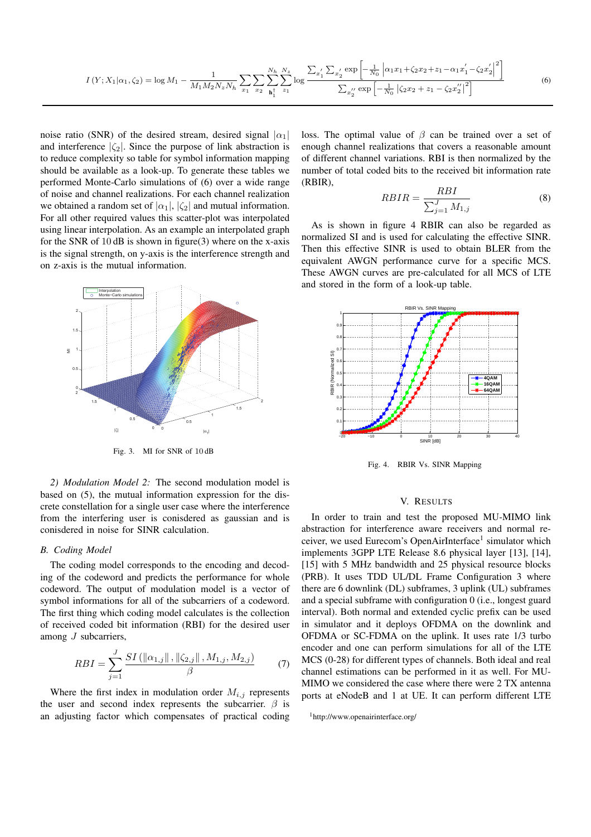$$
I(Y; X_1 | \alpha_1, \zeta_2) = \log M_1 - \frac{1}{M_1 M_2 N_z N_h} \sum_{x_1} \sum_{x_2} \sum_{\mathbf{h}_1^{\dagger}}^{N_h} \sum_{z_1}^{N_z} \sum_{z_2} \log \frac{\sum_{x_1'} \sum_{x_2'} \exp\left[-\frac{1}{N_0} \left| \alpha_1 x_1 + \zeta_2 x_2 + z_1 - \alpha_1 x_1' - \zeta_2 x_2'\right|^2\right]}{\sum_{x_2'} \exp\left[-\frac{1}{N_0} \left| \zeta_2 x_2 + z_1 - \zeta_2 x_2''\right|^2\right]}
$$
(6)

noise ratio (SNR) of the desired stream, desired signal  $|\alpha_1|$ and interference  $|\zeta_2|$ . Since the purpose of link abstraction is to reduce complexity so table for symbol information mapping should be available as a look-up. To generate these tables we performed Monte-Carlo simulations of (6) over a wide range of noise and channel realizations. For each channel realization we obtained a random set of  $|\alpha_1|, |\zeta_2|$  and mutual information. For all other required values this scatter-plot was interpolated using linear interpolation. As an example an interpolated graph for the SNR of  $10$  dB is shown in figure(3) where on the x-axis is the signal strength, on y-axis is the interference strength and on z-axis is the mutual information.



Fig. 3. MI for SNR of 10 dB

*2) Modulation Model 2:* The second modulation model is based on (5), the mutual information expression for the discrete constellation for a single user case where the interference from the interfering user is conisdered as gaussian and is conisdered in noise for SINR calculation.

#### *B. Coding Model*

The coding model corresponds to the encoding and decoding of the codeword and predicts the performance for whole codeword. The output of modulation model is a vector of symbol informations for all of the subcarriers of a codeword. The first thing which coding model calculates is the collection of received coded bit information (RBI) for the desired user among J subcarriers,

$$
RBI = \sum_{j=1}^{J} \frac{SI(\|\alpha_{1,j}\|, \|\zeta_{2,j}\|, M_{1,j}, M_{2,j})}{\beta} \tag{7}
$$

Where the first index in modulation order  $M_{i,j}$  represents the user and second index represents the subcarrier.  $\beta$  is an adjusting factor which compensates of practical coding loss. The optimal value of  $\beta$  can be trained over a set of enough channel realizations that covers a reasonable amount of different channel variations. RBI is then normalized by the number of total coded bits to the received bit information rate (RBIR),

$$
RBIR = \frac{RBI}{\sum_{j=1}^{J} M_{1,j}}\tag{8}
$$

As is shown in figure 4 RBIR can also be regarded as normalized SI and is used for calculating the effective SINR. Then this effective SINR is used to obtain BLER from the equivalent AWGN performance curve for a specific MCS. These AWGN curves are pre-calculated for all MCS of LTE and stored in the form of a look-up table.



Fig. 4. RBIR Vs. SINR Mapping

#### V. RESULTS

In order to train and test the proposed MU-MIMO link abstraction for interference aware receivers and normal receiver, we used Eurecom's OpenAirInterface<sup>1</sup> simulator which implements 3GPP LTE Release 8.6 physical layer [13], [14], [15] with 5 MHz bandwidth and 25 physical resource blocks (PRB). It uses TDD UL/DL Frame Configuration 3 where there are 6 downlink (DL) subframes, 3 uplink (UL) subframes and a special subframe with configuration 0 (i.e., longest guard interval). Both normal and extended cyclic prefix can be used in simulator and it deploys OFDMA on the downlink and OFDMA or SC-FDMA on the uplink. It uses rate 1/3 turbo encoder and one can perform simulations for all of the LTE MCS (0-28) for different types of channels. Both ideal and real channel estimations can be performed in it as well. For MU-MIMO we considered the case where there were 2 TX antenna ports at eNodeB and 1 at UE. It can perform different LTE

<sup>1</sup>http://www.openairinterface.org/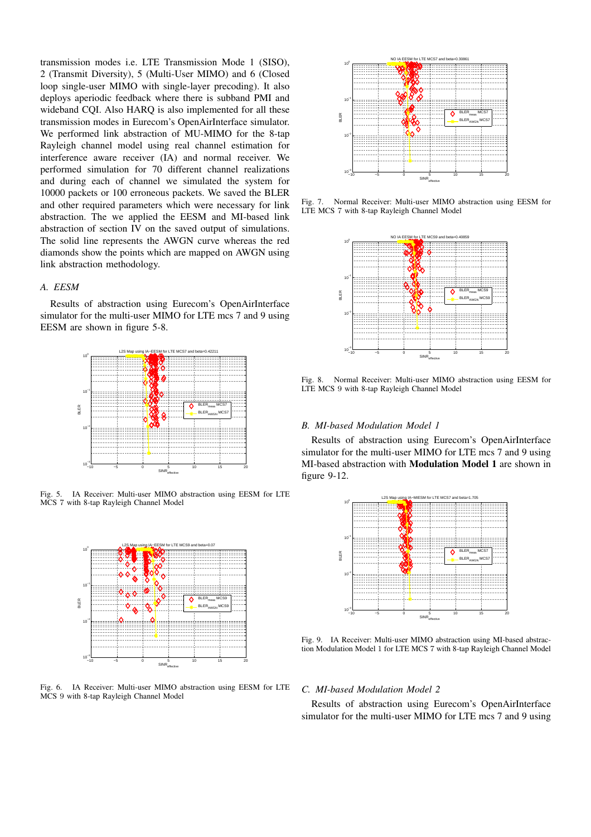transmission modes i.e. LTE Transmission Mode 1 (SISO), 2 (Transmit Diversity), 5 (Multi-User MIMO) and 6 (Closed loop single-user MIMO with single-layer precoding). It also deploys aperiodic feedback where there is subband PMI and wideband CQI. Also HARQ is also implemented for all these transmission modes in Eurecom's OpenAirInterface simulator. We performed link abstraction of MU-MIMO for the 8-tap Rayleigh channel model using real channel estimation for interference aware receiver (IA) and normal receiver. We performed simulation for 70 different channel realizations and during each of channel we simulated the system for 10000 packets or 100 erroneous packets. We saved the BLER and other required parameters which were necessary for link abstraction. The we applied the EESM and MI-based link abstraction of section IV on the saved output of simulations. The solid line represents the AWGN curve whereas the red diamonds show the points which are mapped on AWGN using link abstraction methodology.

# *A. EESM*

Results of abstraction using Eurecom's OpenAirInterface simulator for the multi-user MIMO for LTE mcs 7 and 9 using EESM are shown in figure 5-8.



Fig. 5. IA Receiver: Multi-user MIMO abstraction using EESM for LTE MCS 7 with 8-tap Rayleigh Channel Model



Fig. 6. IA Receiver: Multi-user MIMO abstraction using EESM for LTE MCS 9 with 8-tap Rayleigh Channel Model



Fig. 7. Normal Receiver: Multi-user MIMO abstraction using EESM for LTE MCS 7 with 8-tap Rayleigh Channel Model



Fig. 8. Normal Receiver: Multi-user MIMO abstraction using EESM for LTE MCS 9 with 8-tap Rayleigh Channel Model

# *B. MI-based Modulation Model 1*

Results of abstraction using Eurecom's OpenAirInterface simulator for the multi-user MIMO for LTE mcs 7 and 9 using MI-based abstraction with Modulation Model 1 are shown in figure 9-12.



Fig. 9. IA Receiver: Multi-user MIMO abstraction using MI-based abstraction Modulation Model 1 for LTE MCS 7 with 8-tap Rayleigh Channel Model

#### *C. MI-based Modulation Model 2*

Results of abstraction using Eurecom's OpenAirInterface simulator for the multi-user MIMO for LTE mcs 7 and 9 using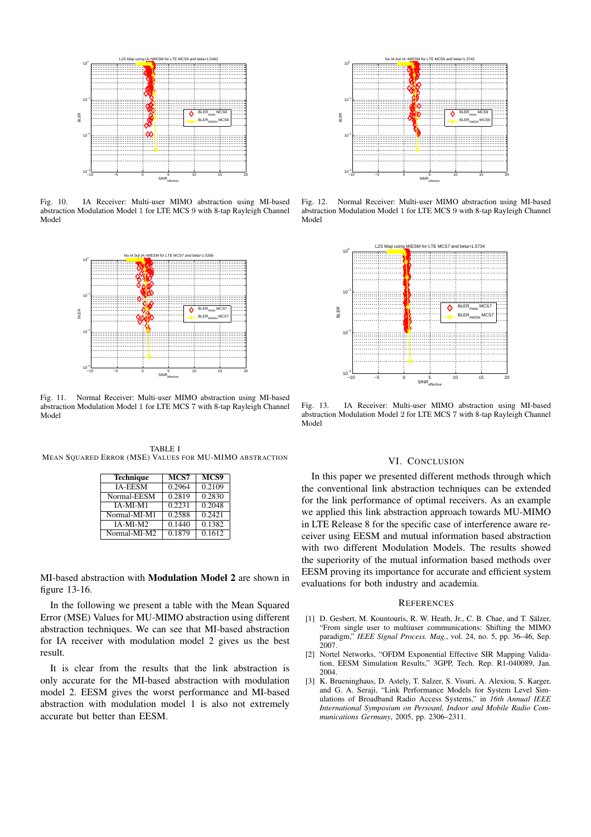

Fig. 10. IA Receiver: Multi-user MIMO abstraction using MI-based abstraction Modulation Model 1 for LTE MCS 9 with 8-tap Rayleigh Channel Model



Fig. 11. Normal Receiver: Multi-user MIMO abstraction using MI-based abstraction Modulation Model 1 for LTE MCS 7 with 8-tap Rayleigh Channel Model

TABLE I MEAN SQUARED ERROR (MSE) VALUES FOR MU-MIMO ABSTRACTION

| <b>Technique</b> | MCS7   | MCS9   |
|------------------|--------|--------|
| <b>IA-EESM</b>   | 0.2964 | 0.2109 |
| Normal-EESM      | 0.2819 | 0.2830 |
| IA-MI-M1         | 0.2231 | 0.2048 |
| Normal-MI-M1     | 0.2588 | 0.2421 |
| IA-MI-M2         | 0.1440 | 0.1382 |
| Normal-MI-M2     | 0.1879 | 0.1612 |

MI-based abstraction with Modulation Model 2 are shown in figure 13-16.

In the following we present a table with the Mean Squared Error (MSE) Values for MU-MIMO abstraction using different abstraction techniques. We can see that MI-based abstraction for IA receiver with modulation model 2 gives us the best result.

It is clear from the results that the link abstraction is only accurate for the MI-based abstraction with modulation model 2. EESM gives the worst performance and MI-based abstraction with modulation model 1 is also not extremely accurate but better than EESM.



Fig. 12. Normal Receiver: Multi-user MIMO abstraction using MI-based abstraction Modulation Model 1 for LTE MCS 9 with 8-tap Rayleigh Channel Model



Fig. 13. IA Receiver: Multi-user MIMO abstraction using MI-based abstraction Modulation Model 2 for LTE MCS 7 with 8-tap Rayleigh Channel Model

# VI. CONCLUSION

In this paper we presented different methods through which the conventional link abstraction techniques can be extended for the link performance of optimal receivers. As an example we applied this link abstraction approach towards MU-MIMO in LTE Release 8 for the specific case of interference aware receiver using EESM and mutual information based abstraction with two different Modulation Models. The results showed the superiority of the mutual information based methods over EESM proving its importance for accurate and efficient system evaluations for both industry and academia.

#### **REFERENCES**

- [1] D. Gesbert, M. Kountouris, R. W. Heath, Jr., C. B. Chae, and T. Sälzer, "From single user to multiuser communications: Shifting the MIMO paradigm," *IEEE Signal Process. Mag.*, vol. 24, no. 5, pp. 36–46, Sep. 2007.
- [2] Nortel Networks, "OFDM Exponential Effective SIR Mapping Validation, EESM Simulation Results," 3GPP, Tech. Rep. R1-040089, Jan. 2004.
- [3] K. Brueninghaus, D. Astely, T. Salzer, S. Visuri, A. Alexiou, S. Karger, and G. A. Seraji, "Link Performance Models for System Level Simulations of Broadband Radio Access Systems," in *16th Annual IEEE International Symposium on Persoanl, Indoor and Mobile Radio Communications Germany*, 2005, pp. 2306–2311.